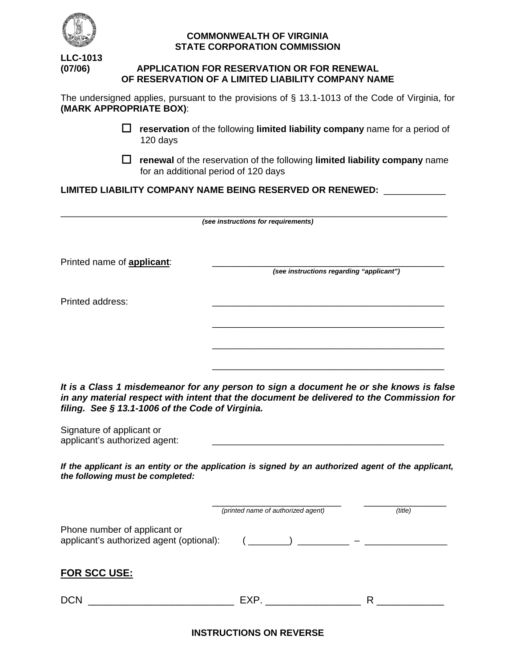

### **COMMONWEALTH OF VIRGINIA STATE CORPORATION COMMISSION**

**LLC-1013**

## **(07/06) APPLICATION FOR RESERVATION OR FOR RENEWAL OF RESERVATION OF A LIMITED LIABILITY COMPANY NAME**

The undersigned applies, pursuant to the provisions of § 13.1-1013 of the Code of Virginia, for **(MARK APPROPRIATE BOX)**:

- **reservation** of the following **limited liability company** name for a period of 120 days
- **renewal** of the reservation of the following **limited liability company** name for an additional period of 120 days

**LIMITED LIABILITY COMPANY NAME BEING RESERVED OR RENEWED:** \_\_\_\_\_\_\_\_\_\_\_\_

| (see instructions for requirements) |                                          |  |
|-------------------------------------|------------------------------------------|--|
| Printed name of <b>applicant:</b>   | (see instructions regarding "applicant") |  |
| Printed address:                    |                                          |  |
|                                     |                                          |  |
|                                     |                                          |  |

*It is a Class 1 misdemeanor for any person to sign a document he or she knows is false in any material respect with intent that the document be delivered to the Commission for filing. See § 13.1-1006 of the Code of Virginia.*

| Signature of applicant or     |  |
|-------------------------------|--|
| applicant's authorized agent: |  |

*If the applicant is an entity or the application is signed by an authorized agent of the applicant, the following must be completed:*

|                                                                          | (printed name of authorized agent) | (title) |
|--------------------------------------------------------------------------|------------------------------------|---------|
| Phone number of applicant or<br>applicant's authorized agent (optional): |                                    |         |
| <b>FOR SCC USE:</b>                                                      |                                    |         |
| <b>DCN</b>                                                               | EXP.                               | R       |

**INSTRUCTIONS ON REVERSE**